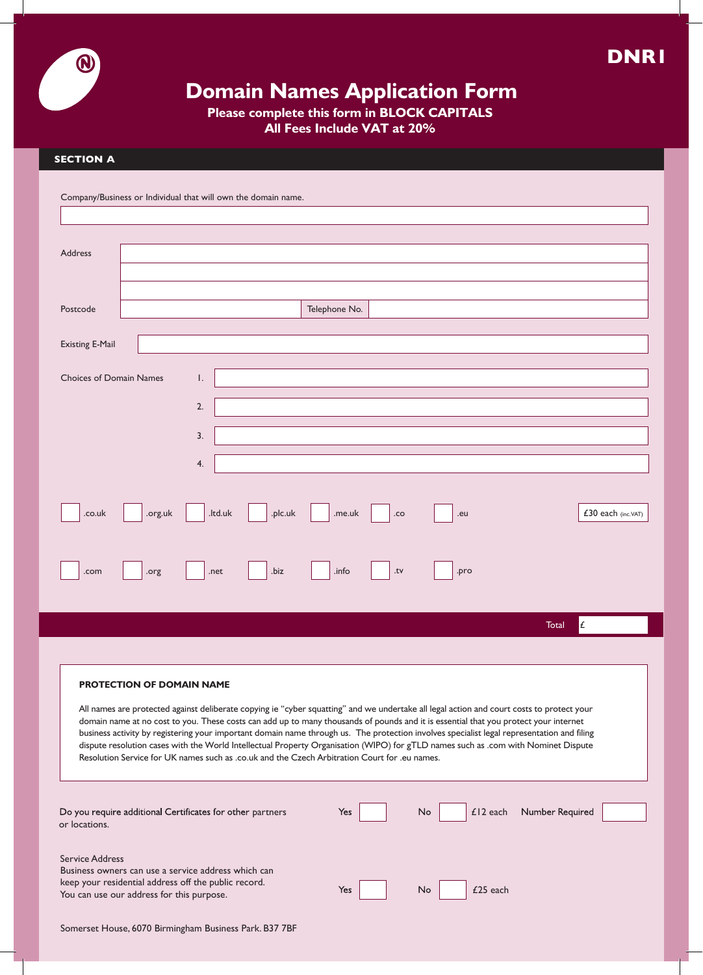

# **Domain Names Application Form**

**Please complete this form in BLOCK CAPITALS**

**All Fees Include VAT at 20%**

## **SECTION A**

 $\bigcirc$ 

| Company/Business or Individual that will own the domain name.                                                                                                                                                                                                                                                                                                                                                                                                                                                                                                                                                                                                                                              |  |  |  |  |  |
|------------------------------------------------------------------------------------------------------------------------------------------------------------------------------------------------------------------------------------------------------------------------------------------------------------------------------------------------------------------------------------------------------------------------------------------------------------------------------------------------------------------------------------------------------------------------------------------------------------------------------------------------------------------------------------------------------------|--|--|--|--|--|
|                                                                                                                                                                                                                                                                                                                                                                                                                                                                                                                                                                                                                                                                                                            |  |  |  |  |  |
| <b>Address</b>                                                                                                                                                                                                                                                                                                                                                                                                                                                                                                                                                                                                                                                                                             |  |  |  |  |  |
| Telephone No.<br>Postcode                                                                                                                                                                                                                                                                                                                                                                                                                                                                                                                                                                                                                                                                                  |  |  |  |  |  |
| <b>Existing E-Mail</b>                                                                                                                                                                                                                                                                                                                                                                                                                                                                                                                                                                                                                                                                                     |  |  |  |  |  |
| <b>Choices of Domain Names</b><br>Ι.<br>2.                                                                                                                                                                                                                                                                                                                                                                                                                                                                                                                                                                                                                                                                 |  |  |  |  |  |
| 3.                                                                                                                                                                                                                                                                                                                                                                                                                                                                                                                                                                                                                                                                                                         |  |  |  |  |  |
| 4.                                                                                                                                                                                                                                                                                                                                                                                                                                                                                                                                                                                                                                                                                                         |  |  |  |  |  |
| £30 each (inc.VAT)<br>.ltd.uk<br>.plc.uk<br>.co.uk<br>.org.uk<br>.me.uk<br>.co<br>.eu                                                                                                                                                                                                                                                                                                                                                                                                                                                                                                                                                                                                                      |  |  |  |  |  |
| .biz<br>.info<br>.net<br>.tv<br>.com<br>.org<br>.pro                                                                                                                                                                                                                                                                                                                                                                                                                                                                                                                                                                                                                                                       |  |  |  |  |  |
| £<br>Total                                                                                                                                                                                                                                                                                                                                                                                                                                                                                                                                                                                                                                                                                                 |  |  |  |  |  |
| <b>PROTECTION OF DOMAIN NAME</b><br>All names are protected against deliberate copying ie "cyber squatting" and we undertake all legal action and court costs to protect your<br>domain name at no cost to you. These costs can add up to many thousands of pounds and it is essential that you protect your internet<br>business activity by registering your important domain name through us. The protection involves specialist legal representation and filing<br>dispute resolution cases with the World Intellectual Property Organisation (WIPO) for gTLD names such as .com with Nominet Dispute<br>Resolution Service for UK names such as .co.uk and the Czech Arbitration Court for .eu names. |  |  |  |  |  |
| Number Required<br>$£12$ each<br>Do you require additional Certificates for other partners<br>No<br>Yes<br>or locations.                                                                                                                                                                                                                                                                                                                                                                                                                                                                                                                                                                                   |  |  |  |  |  |
| <b>Service Address</b><br>Business owners can use a service address which can<br>keep your residential address off the public record.<br>£25 each<br>Yes<br>No.<br>You can use our address for this purpose.                                                                                                                                                                                                                                                                                                                                                                                                                                                                                               |  |  |  |  |  |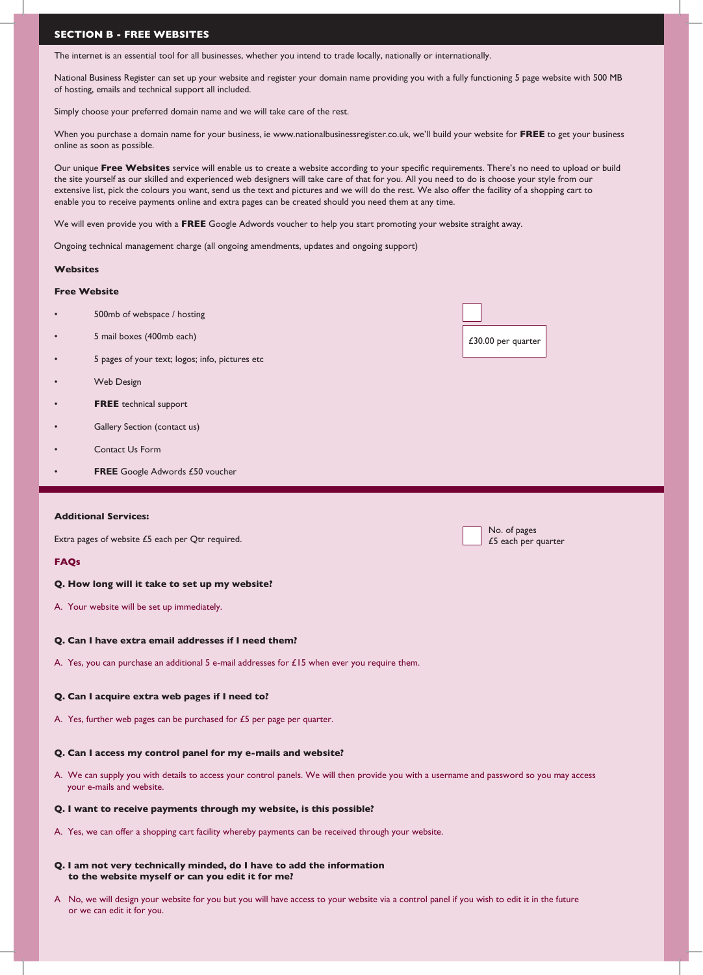## **SECTION B - FREE WEBSITES**

The internet is an essential tool for all businesses, whether you intend to trade locally, nationally or internationally.

National Business Register can set up your website and register your domain name providing you with a fully functioning 5 page website with 500 MB of hosting, emails and technical support all included.

Simply choose your preferred domain name and we will take care of the rest.

When you purchase a domain name for your business, ie www.nationalbusinessregister.co.uk, we'll build your website for **FREE** to get your business online as soon as possible.

Our unique **Free Websites** service will enable us to create a website according to your specific requirements. There's no need to upload or build the site yourself as our skilled and experienced web designers will take care of that for you. All you need to do is choose your style from our extensive list, pick the colours you want, send us the text and pictures and we will do the rest. We also offer the facility of a shopping cart to enable you to receive payments online and extra pages can be created should you need them at any time.

We will even provide you with a **FREE** Google Adwords voucher to help you start promoting your website straight away.

Ongoing technical management charge (all ongoing amendments, updates and ongoing support)

## **Websites**

## **Free Website**

- 500mb of webspace / hosting
- 5 mail boxes (400mb each)
- 5 pages of your text; logos; info, pictures etc
- Web Design
- **FREE** technical support
- Gallery Section (contact us)
- Contact Us Form
- **FREE** Google Adwords £50 voucher

## **Additional Services:**

Extra pages of website £5 each per Qtr required.

## **FAQs**

## **Q. How long will it take to set up my website?**

A. Your website will be set up immediately.

## **Q. Can I have extra email addresses if I need them?**

A. Yes, you can purchase an additional 5 e-mail addresses for  $£15$  when ever you require them.

## **Q. Can I acquire extra web pages if I need to?**

A. Yes, further web pages can be purchased for £5 per page per quarter.

## **Q. Can I access my control panel for my e-mails and website?**

A. We can supply you with details to access your control panels. We will then provide you with a username and password so you may access your e-mails and website.

## **Q. I want to receive payments through my website, is this possible?**

A. Yes, we can offer a shopping cart facility whereby payments can be received through your website.

#### **Q. I am not very technically minded, do I have to add the information to the website myself or can you edit it for me?**

A No, we will design your website for you but you will have access to your website via a control panel if you wish to edit it in the future or we can edit it for you.

| £30.00 per quarter |
|--------------------|

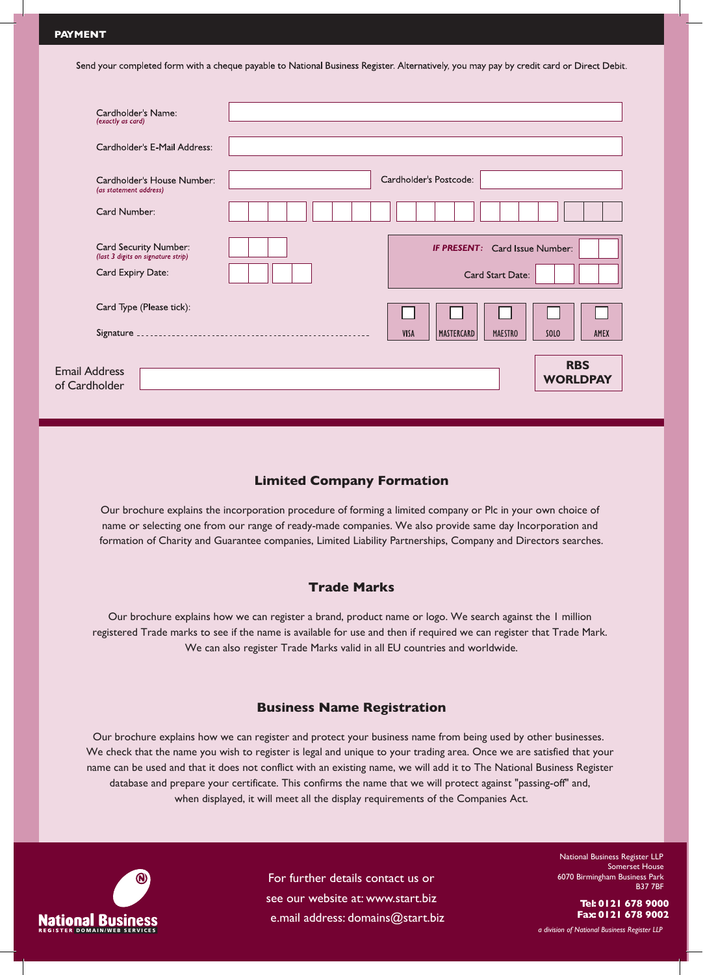En  $\alpha$ f

Send your completed form with a cheque payable to National Business Register. Alternatively, you may pay by credit card or Direct Debit.

| Cardholder's Name:<br>(exactly as card)                                          |                                                           |                            |
|----------------------------------------------------------------------------------|-----------------------------------------------------------|----------------------------|
| Cardholder's E-Mail Address:                                                     |                                                           |                            |
| Cardholder's House Number:<br>(as statement address)                             | Cardholder's Postcode:                                    |                            |
| Card Number:                                                                     |                                                           |                            |
| Card Security Number:<br>(last 3 digits on signature strip)<br>Card Expiry Date: | <b>IF PRESENT:</b> Card Issue Number:<br>Card Start Date: |                            |
| Card Type (Please tick):                                                         |                                                           |                            |
| Signature                                                                        | VISA<br><b>MAESTRO</b><br>MASTERCARD                      | SOLO<br>AMEX<br><b>RBS</b> |
| hail Address<br>Cardholder                                                       |                                                           | <b>WORLDPAY</b>            |

# **Limited Company Formation**

Our brochure explains the incorporation procedure of forming a limited company or Plc in your own choice of name or selecting one from our range of ready-made companies. We also provide same day Incorporation and formation of Charity and Guarantee companies, Limited Liability Partnerships, Company and Directors searches.

# **Trade Marks**

Our brochure explains how we can register a brand, product name or logo. We search against the 1 million registered Trade marks to see if the name is available for use and then if required we can register that Trade Mark. We can also register Trade Marks valid in all EU countries and worldwide.

## **Business Name Registration**

Our brochure explains how we can register and protect your business name from being used by other businesses. We check that the name you wish to register is legal and unique to your trading area. Once we are satisfied that your name can be used and that it does not conflict with an existing name, we will add it to The National Business Register database and prepare your certificate. This confirms the name that we will protect against "passing-off" and, when displayed, it will meet all the display requirements of the Companies Act.



For further details contact us or see our website at: www.start.biz e.mail address: domains@start.biz

National Business Register LLP Somerset House 6070 Birmingham Business Park B37 7BF

> **Tel: 0121 678 9000 Fax: 0121 678 9002**

*a division of National Business Register LLP*